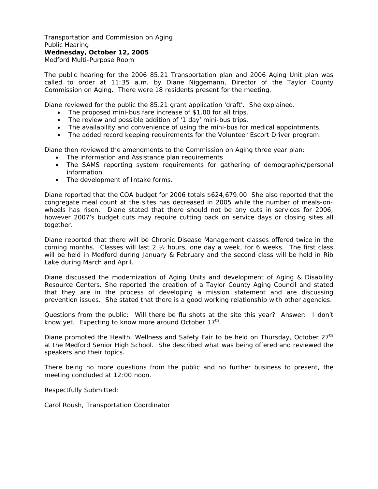Transportation and Commission on Aging Public Hearing **Wednesday, October 12, 2005**  Medford Multi-Purpose Room

The public hearing for the 2006 85.21 Transportation plan and 2006 Aging Unit plan was called to order at 11:35 a.m. by Diane Niggemann, Director of the Taylor County Commission on Aging. There were 18 residents present for the meeting.

Diane reviewed for the public the 85.21 grant application 'draft'. She explained.

- The proposed mini-bus fare increase of \$1.00 for all trips.
- The review and possible addition of '1 day' mini-bus trips.
- The availability and convenience of using the mini-bus for medical appointments.
- The added record keeping requirements for the Volunteer Escort Driver program.

Diane then reviewed the amendments to the Commission on Aging three year plan:

- The information and Assistance plan requirements
- The SAMS reporting system requirements for gathering of demographic/personal information
- The development of Intake forms.

Diane reported that the COA budget for 2006 totals \$624,679.00. She also reported that the congregate meal count at the sites has decreased in 2005 while the number of meals-onwheels has risen. Diane stated that there should not be any cuts in services for 2006, however 2007's budget cuts may require cutting back on service days or closing sites all together.

Diane reported that there will be Chronic Disease Management classes offered twice in the coming months. Classes will last 2 ½ hours, one day a week, for 6 weeks. The first class will be held in Medford during January & February and the second class will be held in Rib Lake during March and April.

Diane discussed the modernization of Aging Units and development of Aging & Disability Resource Centers. She reported the creation of a Taylor County Aging Council and stated that they are in the process of developing a mission statement and are discussing prevention issues. She stated that there is a good working relationship with other agencies.

Questions from the public: Will there be flu shots at the site this year? Answer: I don't know yet. Expecting to know more around October  $17<sup>th</sup>$ .

Diane promoted the Health, Wellness and Safety Fair to be held on Thursday, October 27<sup>th</sup> at the Medford Senior High School. She described what was being offered and reviewed the speakers and their topics.

There being no more questions from the public and no further business to present, the meeting concluded at 12:00 noon.

Respectfully Submitted:

Carol Roush, Transportation Coordinator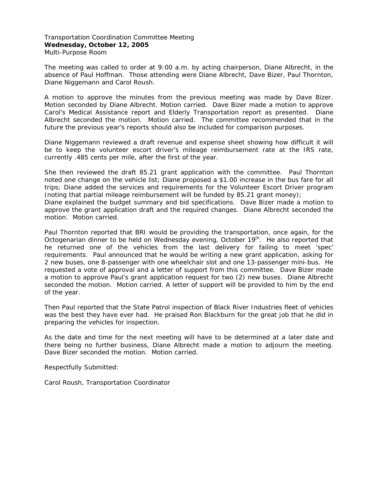Transportation Coordination Committee Meeting **Wednesday, October 12, 2005**  Multi-Purpose Room

The meeting was called to order at 9:00 a.m. by acting chairperson, Diane Albrecht, in the absence of Paul Hoffman. Those attending were Diane Albrecht, Dave Bizer, Paul Thornton, Diane Niggemann and Carol Roush.

A motion to approve the minutes from the previous meeting was made by Dave Bizer. Motion seconded by Diane Albrecht. Motion carried. Dave Bizer made a motion to approve Carol's Medical Assistance report and Elderly Transportation report as presented. Diane Albrecht seconded the motion. Motion carried. The committee recommended that in the future the previous year's reports should also be included for comparison purposes.

Diane Niggemann reviewed a draft revenue and expense sheet showing how difficult it will be to keep the volunteer escort driver's mileage reimbursement rate at the IRS rate, currently .485 cents per mile, after the first of the year.

She then reviewed the draft 85.21 grant application with the committee. Paul Thornton noted one change on the vehicle list; Diane proposed a \$1.00 increase in the bus fare for all trips; Diane added the services and requirements for the Volunteer Escort Driver program (noting that partial mileage reimbursement will be funded by 85.21 grant money);

Diane explained the budget summary and bid specifications. Dave Bizer made a motion to approve the grant application draft and the required changes. Diane Albrecht seconded the motion. Motion carried.

Paul Thornton reported that BRI would be providing the transportation, once again, for the Octogenarian dinner to be held on Wednesday evening, October  $19<sup>th</sup>$ . He also reported that he returned one of the vehicles from the last delivery for failing to meet 'spec' requirements. Paul announced that he would be writing a new grant application, asking for 2 new buses, one 8-passenger with one wheelchair slot and one 13-passenger mini-bus. He requested a vote of approval and a letter of support from this committee. Dave Bizer made a motion to approve Paul's grant application request for two (2) new buses. Diane Albrecht seconded the motion. Motion carried. A letter of support will be provided to him by the end of the year.

Then Paul reported that the State Patrol inspection of Black River Industries fleet of vehicles was the best they have ever had. He praised Ron Blackburn for the great job that he did in preparing the vehicles for inspection.

As the date and time for the next meeting will have to be determined at a later date and there being no further business, Diane Albrecht made a motion to adjourn the meeting. Dave Bizer seconded the motion. Motion carried.

Respectfully Submitted:

Carol Roush, Transportation Coordinator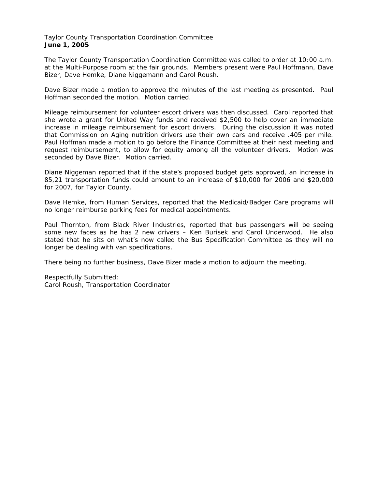Taylor County Transportation Coordination Committee **June 1, 2005** 

The Taylor County Transportation Coordination Committee was called to order at 10:00 a.m. at the Multi-Purpose room at the fair grounds. Members present were Paul Hoffmann, Dave Bizer, Dave Hemke, Diane Niggemann and Carol Roush.

Dave Bizer made a motion to approve the minutes of the last meeting as presented. Paul Hoffman seconded the motion. Motion carried.

Mileage reimbursement for volunteer escort drivers was then discussed. Carol reported that she wrote a grant for United Way funds and received \$2,500 to help cover an immediate increase in mileage reimbursement for escort drivers. During the discussion it was noted that Commission on Aging nutrition drivers use their own cars and receive .405 per mile. Paul Hoffman made a motion to go before the Finance Committee at their next meeting and request reimbursement, to allow for equity among all the volunteer drivers. Motion was seconded by Dave Bizer. Motion carried.

Diane Niggeman reported that if the state's proposed budget gets approved, an increase in 85,21 transportation funds could amount to an increase of \$10,000 for 2006 and \$20,000 for 2007, for Taylor County.

Dave Hemke, from Human Services, reported that the Medicaid/Badger Care programs will no longer reimburse parking fees for medical appointments.

Paul Thornton, from Black River Industries, reported that bus passengers will be seeing some new faces as he has 2 new drivers – Ken Burisek and Carol Underwood. He also stated that he sits on what's now called the Bus Specification Committee as they will no longer be dealing with van specifications.

There being no further business, Dave Bizer made a motion to adjourn the meeting.

Respectfully Submitted: Carol Roush, Transportation Coordinator